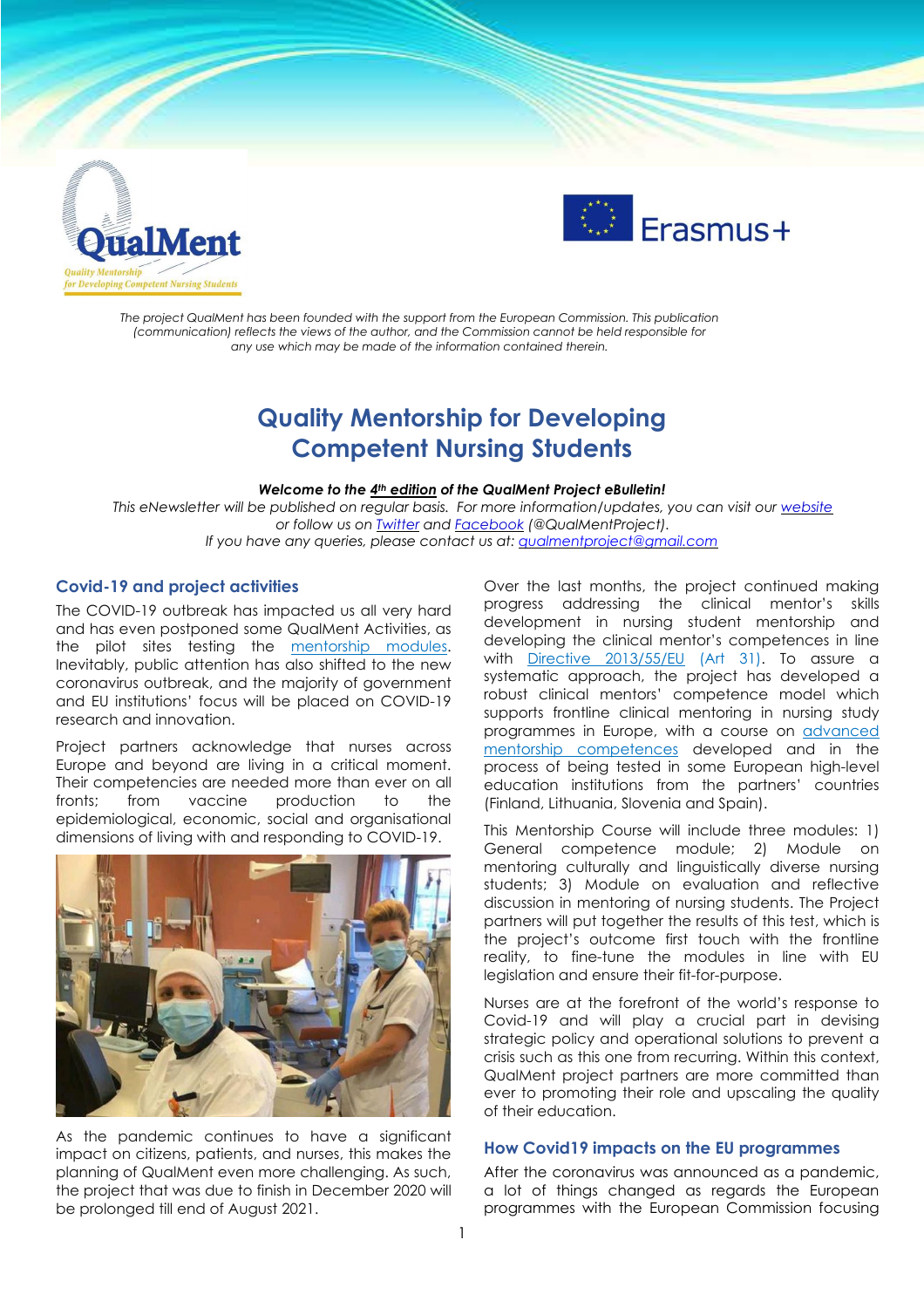



*The project QualMent has been founded with the support from the European Commission. This publication (communication) reflects the views of the author, and the Commission cannot be held responsible for any use which may be made of the information contained therein.*

# **Quality Mentorship for Developing Competent Nursing Students**

#### *Welcome to the 4 th edition of the QualMent Project eBulletin!*

*This eNewsletter will be published on regular basis. For more information/updates, you can visit our [website](http://www.qualment.be/) or follow us on [Twitter](https://twitter.com/QualMentProject) and [Facebook](https://www.facebook.com/QualMentProject/) (@QualMentProject). If you have any queries, please contact us at: [qualmentproject@gmail.com](mailto:qualmentproject@gmail.com)*

#### **Covid-19 and project activities**

The COVID-19 outbreak has impacted us all very hard and has even postponed some QualMent Activities, as the pilot sites testing the **[mentorship](https://www.qualment.eu/e-classroom/) modules**. Inevitably, public attention has also shifted to the new coronavirus outbreak, and the majority of government and EU institutions' focus will be placed on COVID-19 research and innovation.

Project partners acknowledge that nurses across Europe and beyond are living in a critical moment. Their competencies are needed more than ever on all fronts; from vaccine production to the epidemiological, economic, social and organisational dimensions of living with and responding to COVID-19.



As the pandemic continues to have a significant impact on citizens, patients, and nurses, this makes the planning of QualMent even more challenging. As such, the project that was due to finish in December 2020 will be prolonged till end of August 2021.

Over the last months, the project continued making progress addressing the clinical mentor's skills development in nursing student mentorship and developing the clinical mentor's competences in line with Directive [2013/55/EU](https://eur-lex.europa.eu/legal-content/EN/ALL/?uri=celex%3A32013L0055) (Art 31). To assure a systematic approach, the project has developed a robust clinical mentors' competence model which supports frontline clinical mentoring in nursing study programmes in Europe, with a course on [advanced](https://www.qualment.eu/news-events/course-framework-of-advanced-mentorship-competences/) mentorship [competences](https://www.qualment.eu/news-events/course-framework-of-advanced-mentorship-competences/) developed and in the process of being tested in some European high-level education institutions from the partners' countries (Finland, Lithuania, Slovenia and Spain).

This Mentorship Course will include three modules: 1) General competence module; 2) Module on mentoring culturally and linguistically diverse nursing students; 3) Module on evaluation and reflective discussion in mentoring of nursing students. The Project partners will put together the results of this test, which is the project's outcome first touch with the frontline reality, to fine-tune the modules in line with EU legislation and ensure their fit-for-purpose.

Nurses are at the forefront of the world's response to Covid-19 and will play a crucial part in devising strategic policy and operational solutions to prevent a crisis such as this one from recurring. Within this context, QualMent project partners are more committed than ever to promoting their role and upscaling the quality of their education.

### **How Covid19 impacts on the EU programmes**

After the coronavirus was announced as a pandemic, a lot of things changed as regards the European programmes with the European Commission focusing